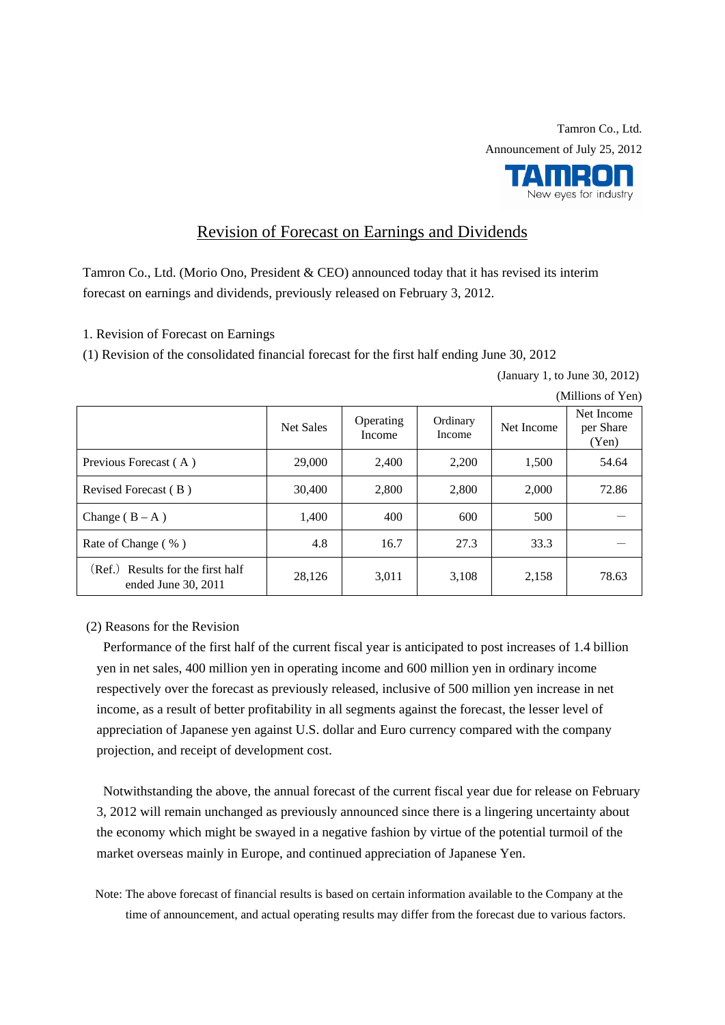New eyes for industry

## Revision of Forecast on Earnings and Dividends

Tamron Co., Ltd. (Morio Ono, President & CEO) announced today that it has revised its interim forecast on earnings and dividends, previously released on February 3, 2012.

1. Revision of Forecast on Earnings

(1) Revision of the consolidated financial forecast for the first half ending June 30, 2012

(January 1, to June 30, 2012)

|                                                          | <b>Net Sales</b> | Operating<br>Income | Ordinary<br>Income | Net Income | Net Income<br>per Share<br>(Yen) |
|----------------------------------------------------------|------------------|---------------------|--------------------|------------|----------------------------------|
| Previous Forecast (A)                                    | 29,000           | 2.400               | 2,200              | 1,500      | 54.64                            |
| Revised Forecast (B)                                     | 30,400           | 2,800               | 2,800              | 2,000      | 72.86                            |
| Change $(B - A)$                                         | 1,400            | 400                 | 600                | 500        |                                  |
| Rate of Change (%)                                       | 4.8              | 16.7                | 27.3               | 33.3       |                                  |
| (Ref.) Results for the first half<br>ended June 30, 2011 | 28,126           | 3,011               | 3,108              | 2,158      | 78.63                            |

(Millions of Yen)

(2) Reasons for the Revision

Performance of the first half of the current fiscal year is anticipated to post increases of 1.4 billion yen in net sales, 400 million yen in operating income and 600 million yen in ordinary income respectively over the forecast as previously released, inclusive of 500 million yen increase in net income, as a result of better profitability in all segments against the forecast, the lesser level of appreciation of Japanese yen against U.S. dollar and Euro currency compared with the company projection, and receipt of development cost.

Notwithstanding the above, the annual forecast of the current fiscal year due for release on February 3, 2012 will remain unchanged as previously announced since there is a lingering uncertainty about the economy which might be swayed in a negative fashion by virtue of the potential turmoil of the market overseas mainly in Europe, and continued appreciation of Japanese Yen.

Note: The above forecast of financial results is based on certain information available to the Company at the time of announcement, and actual operating results may differ from the forecast due to various factors.